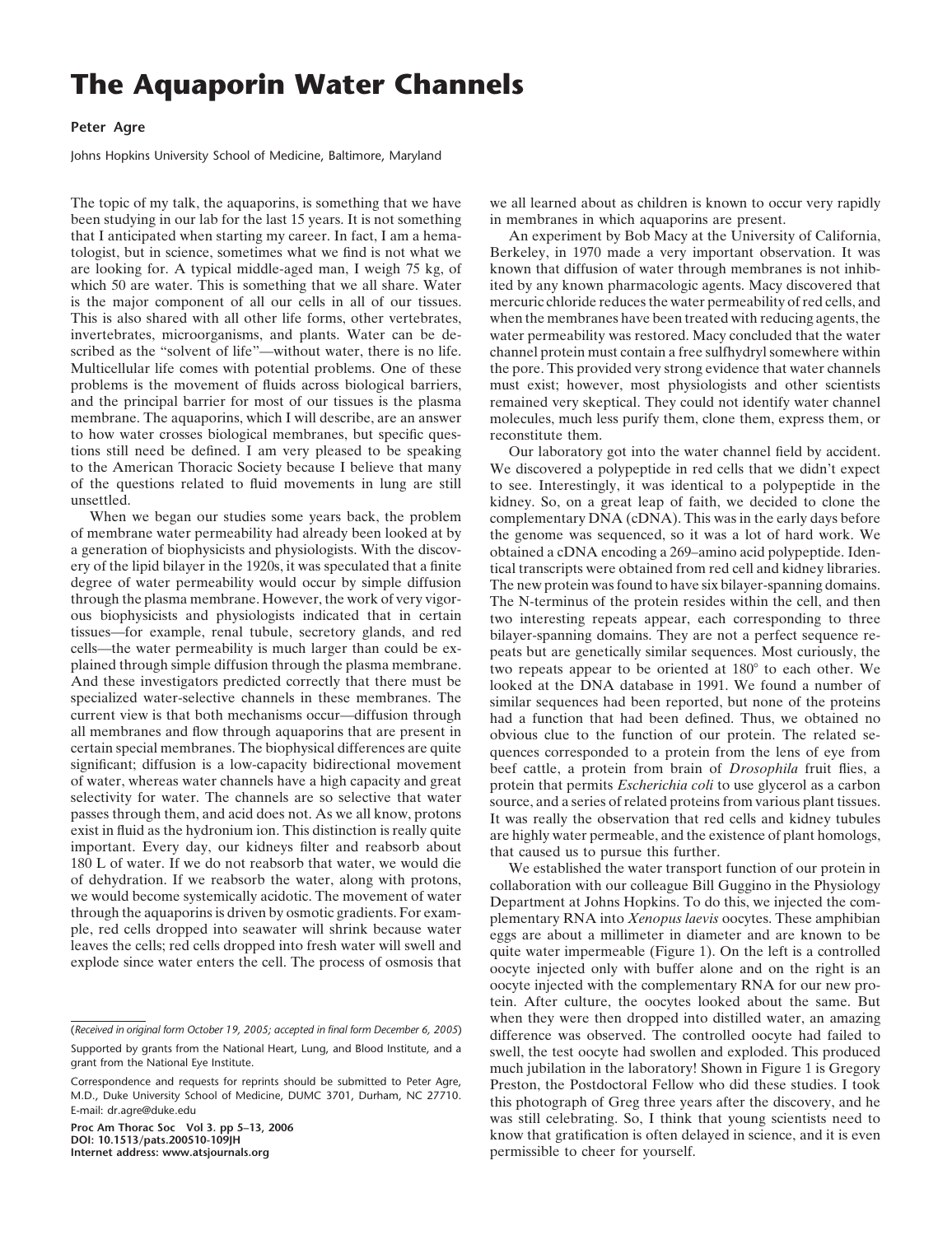## **The Aquaporin Water Channels**

## **Peter Agre**

Johns Hopkins University School of Medicine, Baltimore, Maryland

The topic of my talk, the aquaporins, is something that we have been studying in our lab for the last 15 years. It is not something that I anticipated when starting my career. In fact, I am a hematologist, but in science, sometimes what we find is not what we are looking for. A typical middle-aged man, I weigh 75 kg, of which 50 are water. This is something that we all share. Water is the major component of all our cells in all of our tissues. This is also shared with all other life forms, other vertebrates, invertebrates, microorganisms, and plants. Water can be described as the "solvent of life"—without water, there is no life. Multicellular life comes with potential problems. One of these problems is the movement of fluids across biological barriers, and the principal barrier for most of our tissues is the plasma membrane. The aquaporins, which I will describe, are an answer to how water crosses biological membranes, but specific questions still need be defined. I am very pleased to be speaking to the American Thoracic Society because I believe that many of the questions related to fluid movements in lung are still unsettled.

When we began our studies some years back, the problem of membrane water permeability had already been looked at by a generation of biophysicists and physiologists. With the discovery of the lipid bilayer in the 1920s, it was speculated that a finite degree of water permeability would occur by simple diffusion through the plasma membrane. However, the work of very vigorous biophysicists and physiologists indicated that in certain tissues—for example, renal tubule, secretory glands, and red cells—the water permeability is much larger than could be explained through simple diffusion through the plasma membrane. And these investigators predicted correctly that there must be specialized water-selective channels in these membranes. The current view is that both mechanisms occur—diffusion through all membranes and flow through aquaporins that are present in certain special membranes. The biophysical differences are quite significant; diffusion is a low-capacity bidirectional movement of water, whereas water channels have a high capacity and great selectivity for water. The channels are so selective that water passes through them, and acid does not. As we all know, protons exist in fluid as the hydronium ion. This distinction is really quite important. Every day, our kidneys filter and reabsorb about 180 L of water. If we do not reabsorb that water, we would die of dehydration. If we reabsorb the water, along with protons, we would become systemically acidotic. The movement of water through the aquaporins is driven by osmotic gradients. For example, red cells dropped into seawater will shrink because water leaves the cells; red cells dropped into fresh water will swell and explode since water enters the cell. The process of osmosis that

**Proc Am Thorac Soc Vol 3. pp 5–13, 2006 DOI: 10.1513/pats.200510-109JH Internet address: www.atsjournals.org**

we all learned about as children is known to occur very rapidly in membranes in which aquaporins are present.

An experiment by Bob Macy at the University of California, Berkeley, in 1970 made a very important observation. It was known that diffusion of water through membranes is not inhibited by any known pharmacologic agents. Macy discovered that mercuric chloride reduces the water permeability of red cells, and when the membranes have been treated with reducing agents, the water permeability was restored. Macy concluded that the water channel protein must contain a free sulfhydryl somewhere within the pore. This provided very strong evidence that water channels must exist; however, most physiologists and other scientists remained very skeptical. They could not identify water channel molecules, much less purify them, clone them, express them, or reconstitute them.

Our laboratory got into the water channel field by accident. We discovered a polypeptide in red cells that we didn't expect to see. Interestingly, it was identical to a polypeptide in the kidney. So, on a great leap of faith, we decided to clone the complementary DNA (cDNA). This was in the early days before the genome was sequenced, so it was a lot of hard work. We obtained a cDNA encoding a 269–amino acid polypeptide. Identical transcripts were obtained from red cell and kidney libraries. The new protein was found to have six bilayer-spanning domains. The N-terminus of the protein resides within the cell, and then two interesting repeats appear, each corresponding to three bilayer-spanning domains. They are not a perfect sequence repeats but are genetically similar sequences. Most curiously, the two repeats appear to be oriented at 180° to each other. We looked at the DNA database in 1991. We found a number of similar sequences had been reported, but none of the proteins had a function that had been defined. Thus, we obtained no obvious clue to the function of our protein. The related sequences corresponded to a protein from the lens of eye from beef cattle, a protein from brain of *Drosophila* fruit flies, a protein that permits *Escherichia coli* to use glycerol as a carbon source, and a series of related proteins from various plant tissues. It was really the observation that red cells and kidney tubules are highly water permeable, and the existence of plant homologs, that caused us to pursue this further.

We established the water transport function of our protein in collaboration with our colleague Bill Guggino in the Physiology Department at Johns Hopkins. To do this, we injected the complementary RNA into *Xenopus laevis* oocytes. These amphibian eggs are about a millimeter in diameter and are known to be quite water impermeable (Figure 1). On the left is a controlled oocyte injected only with buffer alone and on the right is an oocyte injected with the complementary RNA for our new protein. After culture, the oocytes looked about the same. But when they were then dropped into distilled water, an amazing difference was observed. The controlled oocyte had failed to swell, the test oocyte had swollen and exploded. This produced much jubilation in the laboratory! Shown in Figure 1 is Gregory Preston, the Postdoctoral Fellow who did these studies. I took this photograph of Greg three years after the discovery, and he was still celebrating. So, I think that young scientists need to know that gratification is often delayed in science, and it is even permissible to cheer for yourself.

<sup>(</sup>*Received in original form October 19, 2005; accepted in final form December 6, 2005*)

Supported by grants from the National Heart, Lung, and Blood Institute, and a grant from the National Eye Institute.

Correspondence and requests for reprints should be submitted to Peter Agre, M.D., Duke University School of Medicine, DUMC 3701, Durham, NC 27710. E-mail: dr.agre@duke.edu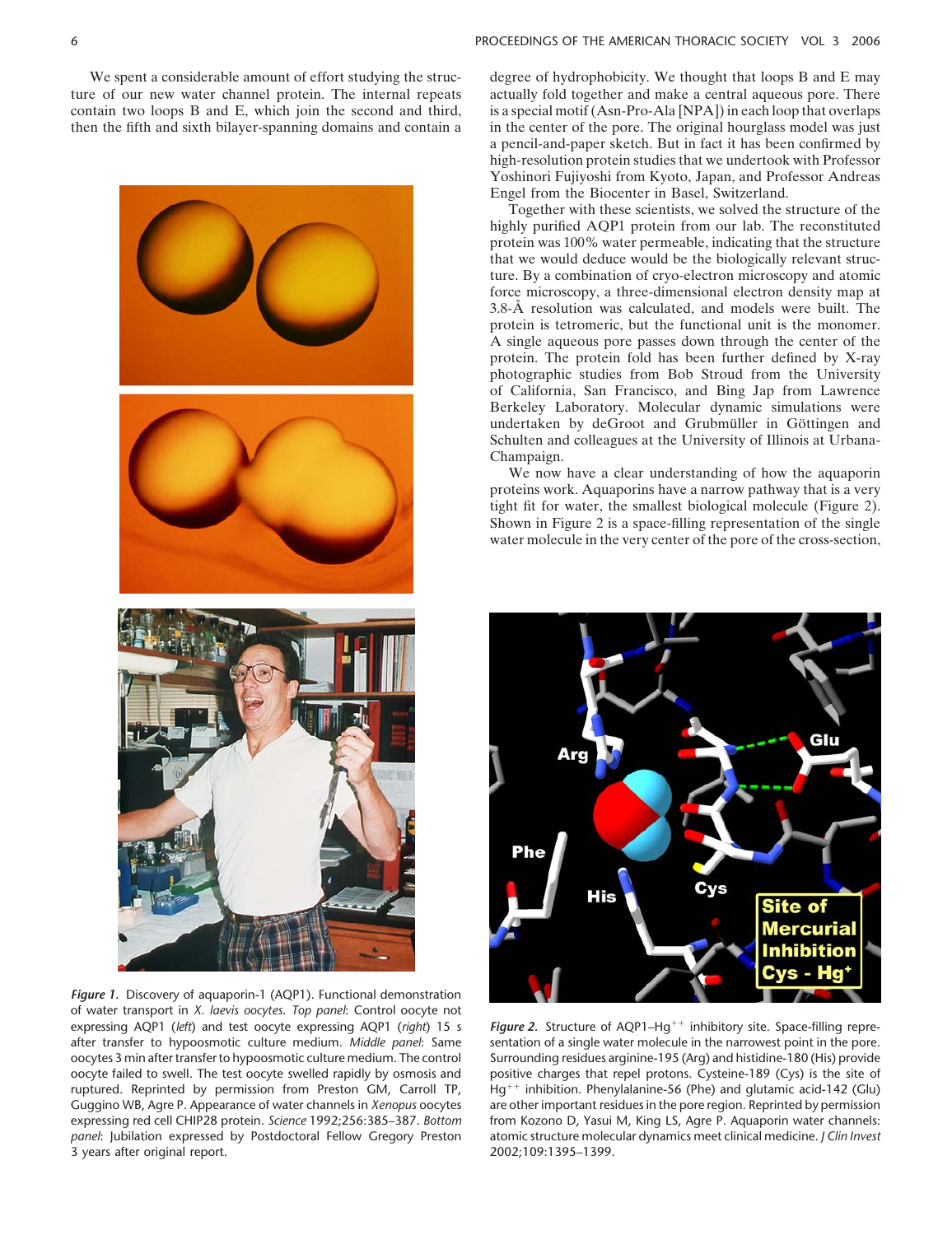We spent a considerable amount of effort studying the structure of our new water channel protein. The internal repeats contain two loops B and E, which join the second and third, then the fifth and sixth bilayer-spanning domains and contain a



*Figure 1.* Discovery of aquaporin-1 (AQP1). Functional demonstration of water transport in *X. laevis oocytes*. *Top panel*: Control oocyte not expressing AQP1 (*left*) and test oocyte expressing AQP1 (*right*) 15 s after transfer to hypoosmotic culture medium. *Middle panel*: Same oocytes 3 min after transfer to hypoosmotic culture medium. The control oocyte failed to swell. The test oocyte swelled rapidly by osmosis and ruptured. Reprinted by permission from Preston GM, Carroll TP, Guggino WB, Agre P. Appearance of water channels in *Xenopus* oocytes expressing red cell CHIP28 protein. *Science* 1992;256:385–387. *Bottom panel*: Jubilation expressed by Postdoctoral Fellow Gregory Preston 3 years after original report.

degree of hydrophobicity. We thought that loops B and E may actually fold together and make a central aqueous pore. There is a special motif (Asn-Pro-Ala [NPA]) in each loop that overlaps in the center of the pore. The original hourglass model was just a pencil-and-paper sketch. But in fact it has been confirmed by high-resolution protein studies that we undertook with Professor Yoshinori Fujiyoshi from Kyoto, Japan, and Professor Andreas Engel from the Biocenter in Basel, Switzerland.

Together with these scientists, we solved the structure of the highly purified AQP1 protein from our lab. The reconstituted protein was 100% water permeable, indicating that the structure that we would deduce would be the biologically relevant structure. By a combination of cryo-electron microscopy and atomic force microscopy, a three-dimensional electron density map at 3.8-Å resolution was calculated, and models were built. The protein is tetromeric, but the functional unit is the monomer. A single aqueous pore passes down through the center of the protein. The protein fold has been further defined by X-ray photographic studies from Bob Stroud from the University of California, San Francisco, and Bing Jap from Lawrence Berkeley Laboratory. Molecular dynamic simulations were undertaken by deGroot and Grubmüller in Göttingen and Schulten and colleagues at the University of Illinois at Urbana-Champaign.

We now have a clear understanding of how the aquaporin proteins work. Aquaporins have a narrow pathway that is a very tight fit for water, the smallest biological molecule (Figure 2). Shown in Figure 2 is a space-filling representation of the single water molecule in the very center of the pore of the cross-section,



Figure 2. Structure of AQP1-Hg<sup>++</sup> inhibitory site. Space-filling representation of a single water molecule in the narrowest point in the pore. Surrounding residues arginine-195 (Arg) and histidine-180 (His) provide positive charges that repel protons. Cysteine-189 (Cys) is the site of Hg<sup>++</sup> inhibition. Phenylalanine-56 (Phe) and glutamic acid-142 (Glu) are other important residues in the pore region. Reprinted by permission from Kozono D, Yasui M, King LS, Agre P. Aquaporin water channels: atomic structure molecular dynamics meet clinical medicine. *J Clin Invest* 2002;109:1395–1399.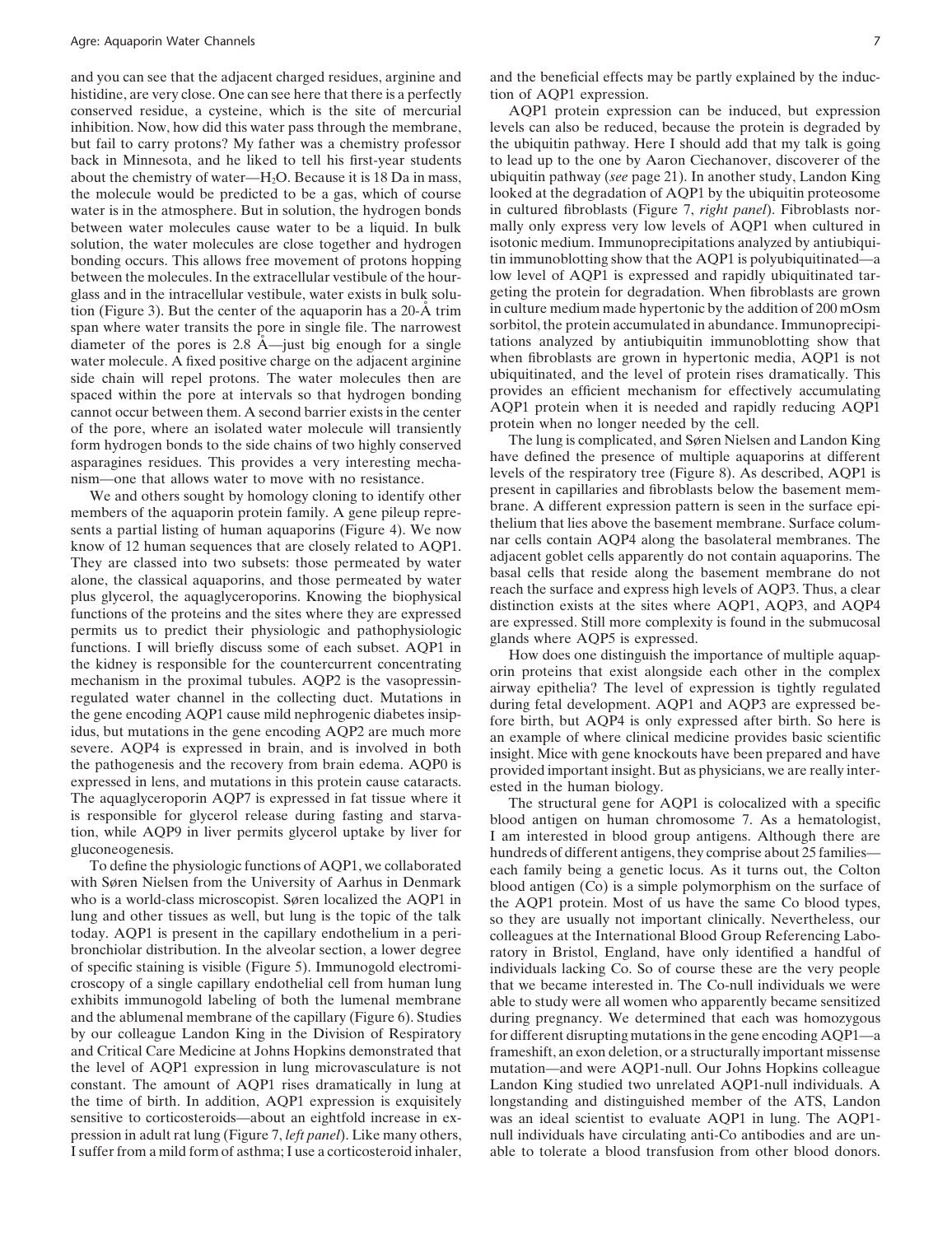and you can see that the adjacent charged residues, arginine and histidine, are very close. One can see here that there is a perfectly conserved residue, a cysteine, which is the site of mercurial inhibition. Now, how did this water pass through the membrane, but fail to carry protons? My father was a chemistry professor back in Minnesota, and he liked to tell his first-year students about the chemistry of water—H<sub>2</sub>O. Because it is 18 Da in mass, the molecule would be predicted to be a gas, which of course water is in the atmosphere. But in solution, the hydrogen bonds between water molecules cause water to be a liquid. In bulk solution, the water molecules are close together and hydrogen bonding occurs. This allows free movement of protons hopping between the molecules. In the extracellular vestibule of the hourglass and in the intracellular vestibule, water exists in bulk solution (Figure 3). But the center of the aquaporin has a 20-A trim span where water transits the pore in single file. The narrowest diameter of the pores is  $2.8$  A—just big enough for a single water molecule. A fixed positive charge on the adjacent arginine side chain will repel protons. The water molecules then are spaced within the pore at intervals so that hydrogen bonding cannot occur between them. A second barrier exists in the center of the pore, where an isolated water molecule will transiently form hydrogen bonds to the side chains of two highly conserved asparagines residues. This provides a very interesting mechanism—one that allows water to move with no resistance.

We and others sought by homology cloning to identify other members of the aquaporin protein family. A gene pileup represents a partial listing of human aquaporins (Figure 4). We now know of 12 human sequences that are closely related to AQP1. They are classed into two subsets: those permeated by water alone, the classical aquaporins, and those permeated by water plus glycerol, the aquaglyceroporins. Knowing the biophysical functions of the proteins and the sites where they are expressed permits us to predict their physiologic and pathophysiologic functions. I will briefly discuss some of each subset. AQP1 in the kidney is responsible for the countercurrent concentrating mechanism in the proximal tubules. AQP2 is the vasopressinregulated water channel in the collecting duct. Mutations in the gene encoding AQP1 cause mild nephrogenic diabetes insipidus, but mutations in the gene encoding AQP2 are much more severe. AQP4 is expressed in brain, and is involved in both the pathogenesis and the recovery from brain edema. AQP0 is expressed in lens, and mutations in this protein cause cataracts. The aquaglyceroporin AQP7 is expressed in fat tissue where it is responsible for glycerol release during fasting and starvation, while AQP9 in liver permits glycerol uptake by liver for gluconeogenesis.

To define the physiologic functions of AQP1, we collaborated with Søren Nielsen from the University of Aarhus in Denmark who is a world-class microscopist. Søren localized the AQP1 in lung and other tissues as well, but lung is the topic of the talk today. AQP1 is present in the capillary endothelium in a peribronchiolar distribution. In the alveolar section, a lower degree of specific staining is visible (Figure 5). Immunogold electromicroscopy of a single capillary endothelial cell from human lung exhibits immunogold labeling of both the lumenal membrane and the ablumenal membrane of the capillary (Figure 6). Studies by our colleague Landon King in the Division of Respiratory and Critical Care Medicine at Johns Hopkins demonstrated that the level of AQP1 expression in lung microvasculature is not constant. The amount of AQP1 rises dramatically in lung at the time of birth. In addition, AQP1 expression is exquisitely sensitive to corticosteroids—about an eightfold increase in expression in adult rat lung (Figure 7, *left panel*). Like many others, I suffer from a mild form of asthma; I use a corticosteroid inhaler,

and the beneficial effects may be partly explained by the induction of AQP1 expression.

AQP1 protein expression can be induced, but expression levels can also be reduced, because the protein is degraded by the ubiquitin pathway. Here I should add that my talk is going to lead up to the one by Aaron Ciechanover, discoverer of the ubiquitin pathway (*see* page 21). In another study, Landon King looked at the degradation of AQP1 by the ubiquitin proteosome in cultured fibroblasts (Figure 7, *right panel*). Fibroblasts normally only express very low levels of AQP1 when cultured in isotonic medium. Immunoprecipitations analyzed by antiubiquitin immunoblotting show that the AQP1 is polyubiquitinated—a low level of AQP1 is expressed and rapidly ubiquitinated targeting the protein for degradation. When fibroblasts are grown in culture medium made hypertonic by the addition of 200 mOsm sorbitol, the protein accumulated in abundance. Immunoprecipitations analyzed by antiubiquitin immunoblotting show that when fibroblasts are grown in hypertonic media, AQP1 is not ubiquitinated, and the level of protein rises dramatically. This provides an efficient mechanism for effectively accumulating AQP1 protein when it is needed and rapidly reducing AQP1 protein when no longer needed by the cell.

The lung is complicated, and Søren Nielsen and Landon King have defined the presence of multiple aquaporins at different levels of the respiratory tree (Figure 8). As described, AQP1 is present in capillaries and fibroblasts below the basement membrane. A different expression pattern is seen in the surface epithelium that lies above the basement membrane. Surface columnar cells contain AQP4 along the basolateral membranes. The adjacent goblet cells apparently do not contain aquaporins. The basal cells that reside along the basement membrane do not reach the surface and express high levels of AQP3. Thus, a clear distinction exists at the sites where AQP1, AQP3, and AQP4 are expressed. Still more complexity is found in the submucosal glands where AQP5 is expressed.

How does one distinguish the importance of multiple aquaporin proteins that exist alongside each other in the complex airway epithelia? The level of expression is tightly regulated during fetal development. AQP1 and AQP3 are expressed before birth, but AQP4 is only expressed after birth. So here is an example of where clinical medicine provides basic scientific insight. Mice with gene knockouts have been prepared and have provided important insight. But as physicians, we are really interested in the human biology.

The structural gene for AQP1 is colocalized with a specific blood antigen on human chromosome 7. As a hematologist, I am interested in blood group antigens. Although there are hundreds of different antigens, they comprise about 25 families each family being a genetic locus. As it turns out, the Colton blood antigen (Co) is a simple polymorphism on the surface of the AQP1 protein. Most of us have the same Co blood types, so they are usually not important clinically. Nevertheless, our colleagues at the International Blood Group Referencing Laboratory in Bristol, England, have only identified a handful of individuals lacking Co. So of course these are the very people that we became interested in. The Co-null individuals we were able to study were all women who apparently became sensitized during pregnancy. We determined that each was homozygous for different disrupting mutations in the gene encoding AQP1—a frameshift, an exon deletion, or a structurally important missense mutation—and were AQP1-null. Our Johns Hopkins colleague Landon King studied two unrelated AQP1-null individuals. A longstanding and distinguished member of the ATS, Landon was an ideal scientist to evaluate AQP1 in lung. The AQP1 null individuals have circulating anti-Co antibodies and are unable to tolerate a blood transfusion from other blood donors.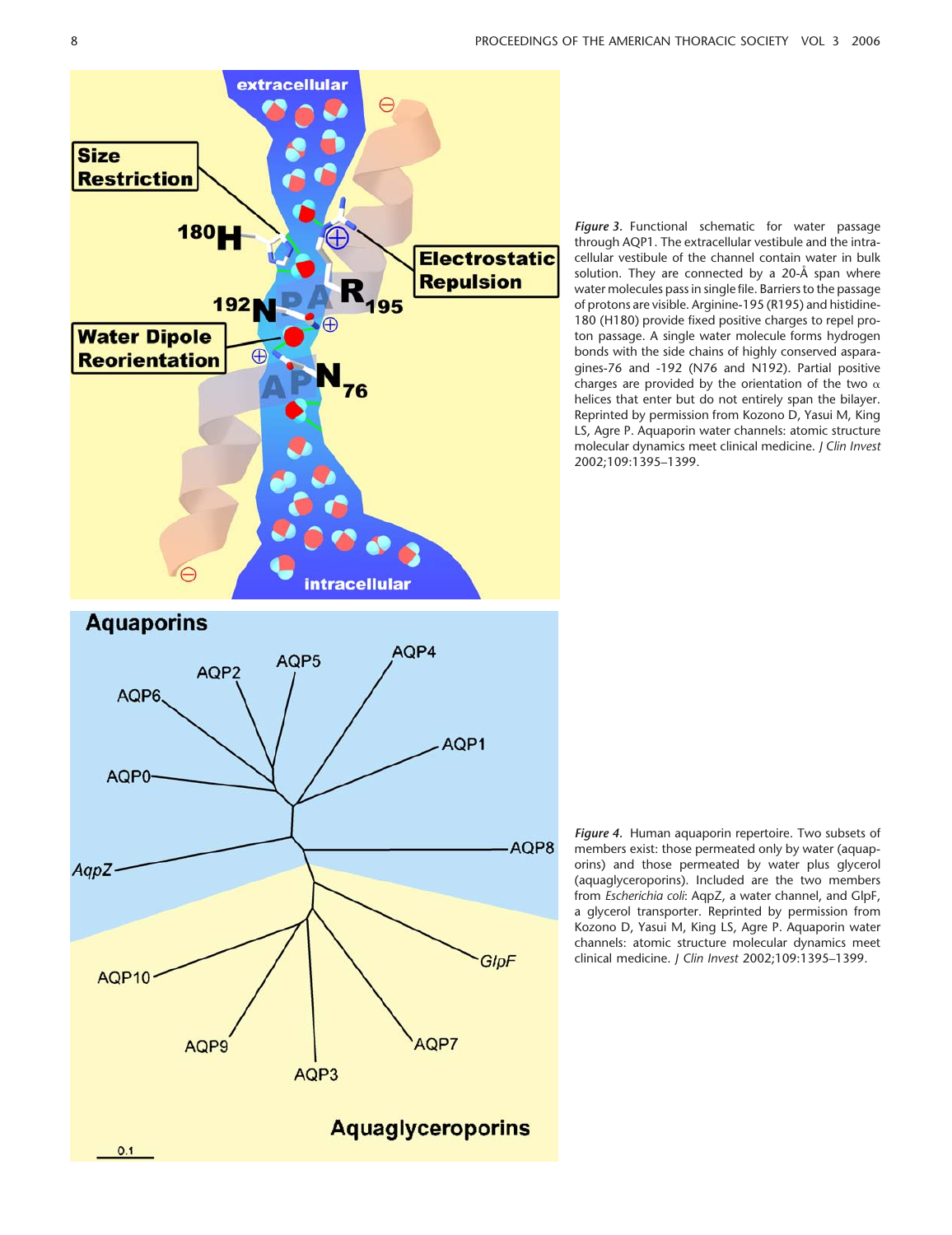

*Figure 3.* Functional schematic for water passage through AQP1. The extracellular vestibule and the intracellular vestibule of the channel contain water in bulk solution. They are connected by a 20-Å span where water molecules pass in single file. Barriers to the passage of protons are visible. Arginine-195 (R195) and histidine-180 (H180) provide fixed positive charges to repel proton passage. A single water molecule forms hydrogen bonds with the side chains of highly conserved asparagines-76 and -192 (N76 and N192). Partial positive charges are provided by the orientation of the two  $\alpha$ helices that enter but do not entirely span the bilayer. Reprinted by permission from Kozono D, Yasui M, King LS, Agre P. Aquaporin water channels: atomic structure molecular dynamics meet clinical medicine. *J Clin Invest* 2002;109:1395–1399.

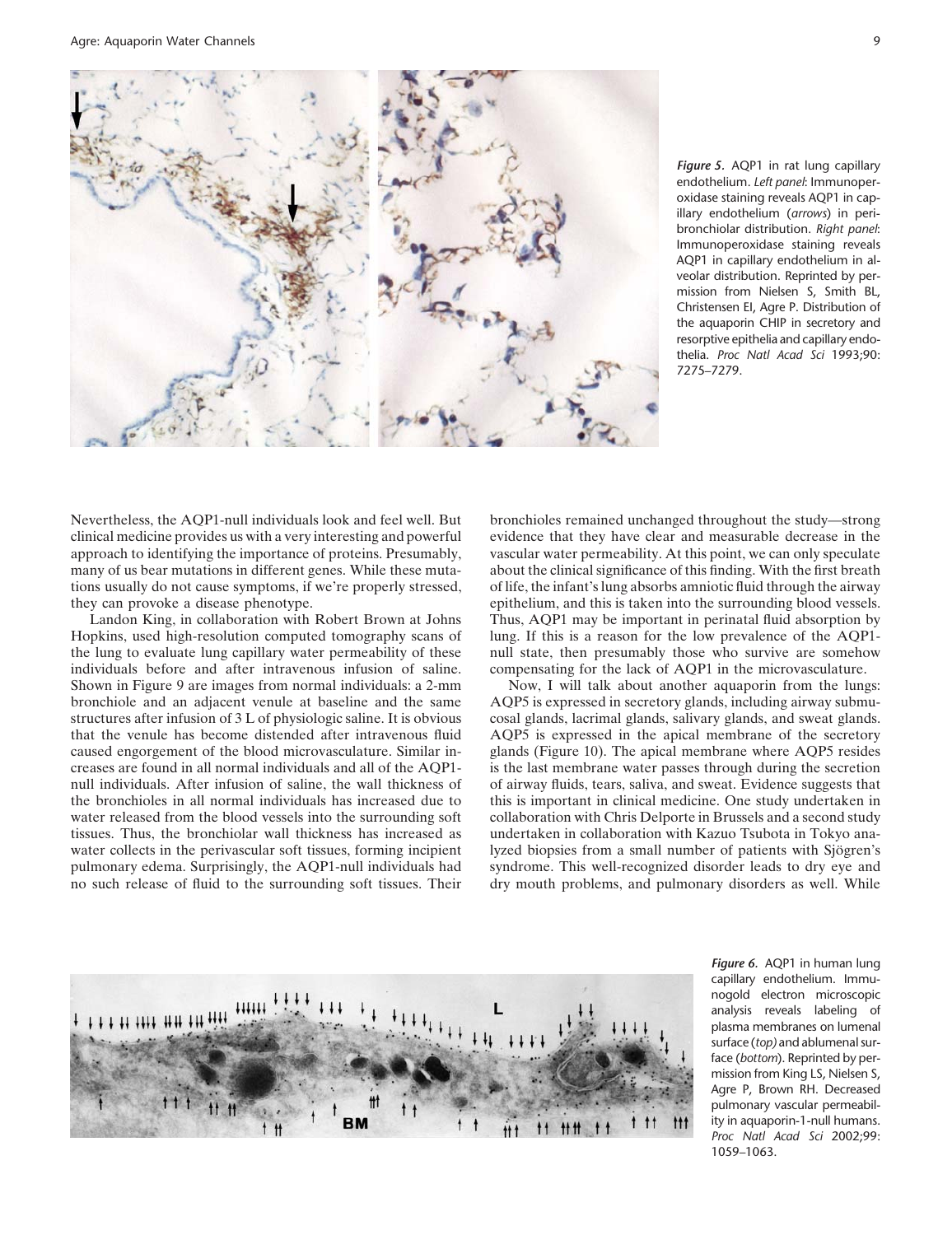*Figure 5.* AQP1 in rat lung capillary endothelium. *Left panel*: Immunoperoxidase staining reveals AQP1 in capillary endothelium (*arrows*) in peribronchiolar distribution. *Right panel*: Immunoperoxidase staining reveals AQP1 in capillary endothelium in alveolar distribution. Reprinted by permission from Nielsen S, Smith BL, Christensen EI, Agre P. Distribution of the aquaporin CHIP in secretory and resorptive epithelia and capillary endothelia. *Proc Natl Acad Sci* 1993;90: 7275–7279.

Nevertheless, the AQP1-null individuals look and feel well. But clinical medicine provides us with a very interesting and powerful approach to identifying the importance of proteins. Presumably, many of us bear mutations in different genes. While these mutations usually do not cause symptoms, if we're properly stressed, they can provoke a disease phenotype.

Landon King, in collaboration with Robert Brown at Johns Hopkins, used high-resolution computed tomography scans of the lung to evaluate lung capillary water permeability of these individuals before and after intravenous infusion of saline. Shown in Figure 9 are images from normal individuals: a 2-mm bronchiole and an adjacent venule at baseline and the same structures after infusion of 3 L of physiologic saline. It is obvious that the venule has become distended after intravenous fluid caused engorgement of the blood microvasculature. Similar increases are found in all normal individuals and all of the AQP1 null individuals. After infusion of saline, the wall thickness of the bronchioles in all normal individuals has increased due to water released from the blood vessels into the surrounding soft tissues. Thus, the bronchiolar wall thickness has increased as water collects in the perivascular soft tissues, forming incipient pulmonary edema. Surprisingly, the AQP1-null individuals had no such release of fluid to the surrounding soft tissues. Their bronchioles remained unchanged throughout the study—strong evidence that they have clear and measurable decrease in the vascular water permeability. At this point, we can only speculate about the clinical significance of this finding. With the first breath of life, the infant's lung absorbs amniotic fluid through the airway epithelium, and this is taken into the surrounding blood vessels. Thus, AQP1 may be important in perinatal fluid absorption by lung. If this is a reason for the low prevalence of the AQP1 null state, then presumably those who survive are somehow compensating for the lack of AQP1 in the microvasculature.

Now, I will talk about another aquaporin from the lungs: AQP5 is expressed in secretory glands, including airway submucosal glands, lacrimal glands, salivary glands, and sweat glands. AQP5 is expressed in the apical membrane of the secretory glands (Figure 10). The apical membrane where AQP5 resides is the last membrane water passes through during the secretion of airway fluids, tears, saliva, and sweat. Evidence suggests that this is important in clinical medicine. One study undertaken in collaboration with Chris Delporte in Brussels and a second study undertaken in collaboration with Kazuo Tsubota in Tokyo analyzed biopsies from a small number of patients with Sjögren's syndrome. This well-recognized disorder leads to dry eye and dry mouth problems, and pulmonary disorders as well. While



*Figure 6.* AQP1 in human lung capillary endothelium. Immunogold electron microscopic analysis reveals labeling of plasma membranes on lumenal surface (*top)* and ablumenal surface (*bottom*). Reprinted by permission from King LS, Nielsen S, Agre P, Brown RH. Decreased pulmonary vascular permeability in aquaporin-1-null humans. *Proc Natl Acad Sci* 2002;99: 1059–1063.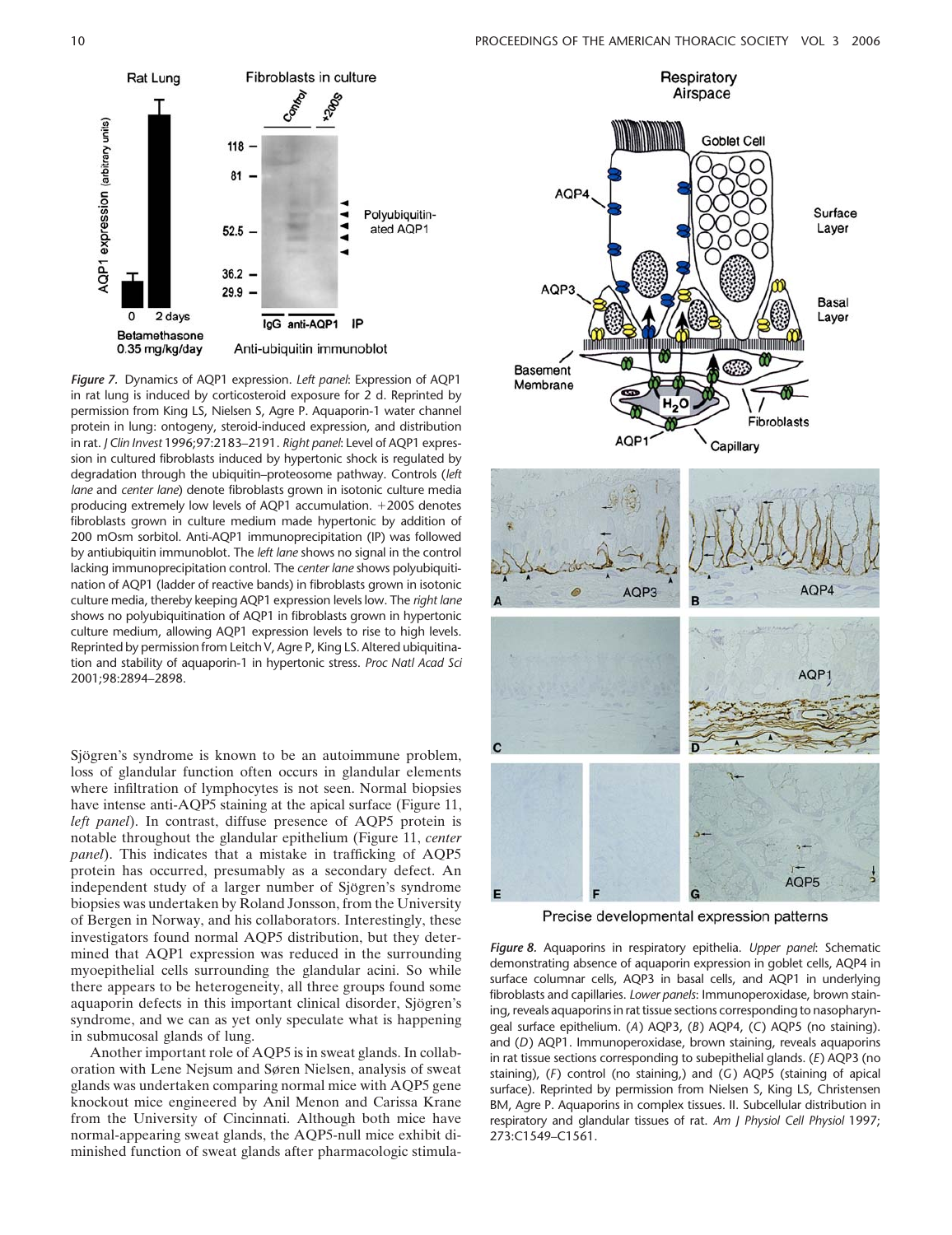

*Figure 7.* Dynamics of AQP1 expression. *Left panel*: Expression of AQP1 in rat lung is induced by corticosteroid exposure for 2 d. Reprinted by permission from King LS, Nielsen S, Agre P. Aquaporin-1 water channel protein in lung: ontogeny, steroid-induced expression, and distribution in rat. *J Clin Invest* 1996;97:2183–2191. *Right panel*: Level of AQP1 expression in cultured fibroblasts induced by hypertonic shock is regulated by degradation through the ubiquitin–proteosome pathway. Controls (*left lane* and *center lane*) denote fibroblasts grown in isotonic culture media producing extremely low levels of AQP1 accumulation. +200S denotes fibroblasts grown in culture medium made hypertonic by addition of 200 mOsm sorbitol. Anti-AQP1 immunoprecipitation (IP) was followed by antiubiquitin immunoblot. The *left lane* shows no signal in the control lacking immunoprecipitation control. The *center lane* shows polyubiquitination of AQP1 (ladder of reactive bands) in fibroblasts grown in isotonic culture media, thereby keeping AQP1 expression levels low. The *right lane* shows no polyubiquitination of AQP1 in fibroblasts grown in hypertonic culture medium, allowing AQP1 expression levels to rise to high levels. Reprinted by permission from Leitch V, Agre P, King LS. Altered ubiquitination and stability of aquaporin-1 in hypertonic stress. *Proc Natl Acad Sci* 2001;98:2894–2898.

Sjögren's syndrome is known to be an autoimmune problem, loss of glandular function often occurs in glandular elements where infiltration of lymphocytes is not seen. Normal biopsies have intense anti-AQP5 staining at the apical surface (Figure 11, *left panel*). In contrast, diffuse presence of AQP5 protein is notable throughout the glandular epithelium (Figure 11, *center panel*). This indicates that a mistake in trafficking of AQP5 protein has occurred, presumably as a secondary defect. An independent study of a larger number of Sjögren's syndrome biopsies was undertaken by Roland Jonsson, from the University of Bergen in Norway, and his collaborators. Interestingly, these investigators found normal AQP5 distribution, but they determined that AQP1 expression was reduced in the surrounding myoepithelial cells surrounding the glandular acini. So while there appears to be heterogeneity, all three groups found some aquaporin defects in this important clinical disorder, Sjögren's syndrome, and we can as yet only speculate what is happening in submucosal glands of lung.

Another important role of AQP5 is in sweat glands. In collaboration with Lene Nejsum and Søren Nielsen, analysis of sweat glands was undertaken comparing normal mice with AQP5 gene knockout mice engineered by Anil Menon and Carissa Krane from the University of Cincinnati. Although both mice have normal-appearing sweat glands, the AQP5-null mice exhibit diminished function of sweat glands after pharmacologic stimula-



Precise developmental expression patterns

*Figure 8.* Aquaporins in respiratory epithelia. *Upper panel*: Schematic demonstrating absence of aquaporin expression in goblet cells, AQP4 in surface columnar cells, AQP3 in basal cells, and AQP1 in underlying fibroblasts and capillaries. *Lower panels*: Immunoperoxidase, brown staining, reveals aquaporins in rat tissue sections corresponding to nasopharyngeal surface epithelium. (*A*) AQP3, (*B*) AQP4, (*C*) AQP5 (no staining). and (*D*) AQP1. Immunoperoxidase, brown staining, reveals aquaporins in rat tissue sections corresponding to subepithelial glands. (*E*) AQP3 (no staining), (*F* ) control (no staining,) and (*G*) AQP5 (staining of apical surface). Reprinted by permission from Nielsen S, King LS, Christensen BM, Agre P. Aquaporins in complex tissues. II. Subcellular distribution in respiratory and glandular tissues of rat. *Am J Physiol Cell Physiol* 1997; 273:C1549–C1561.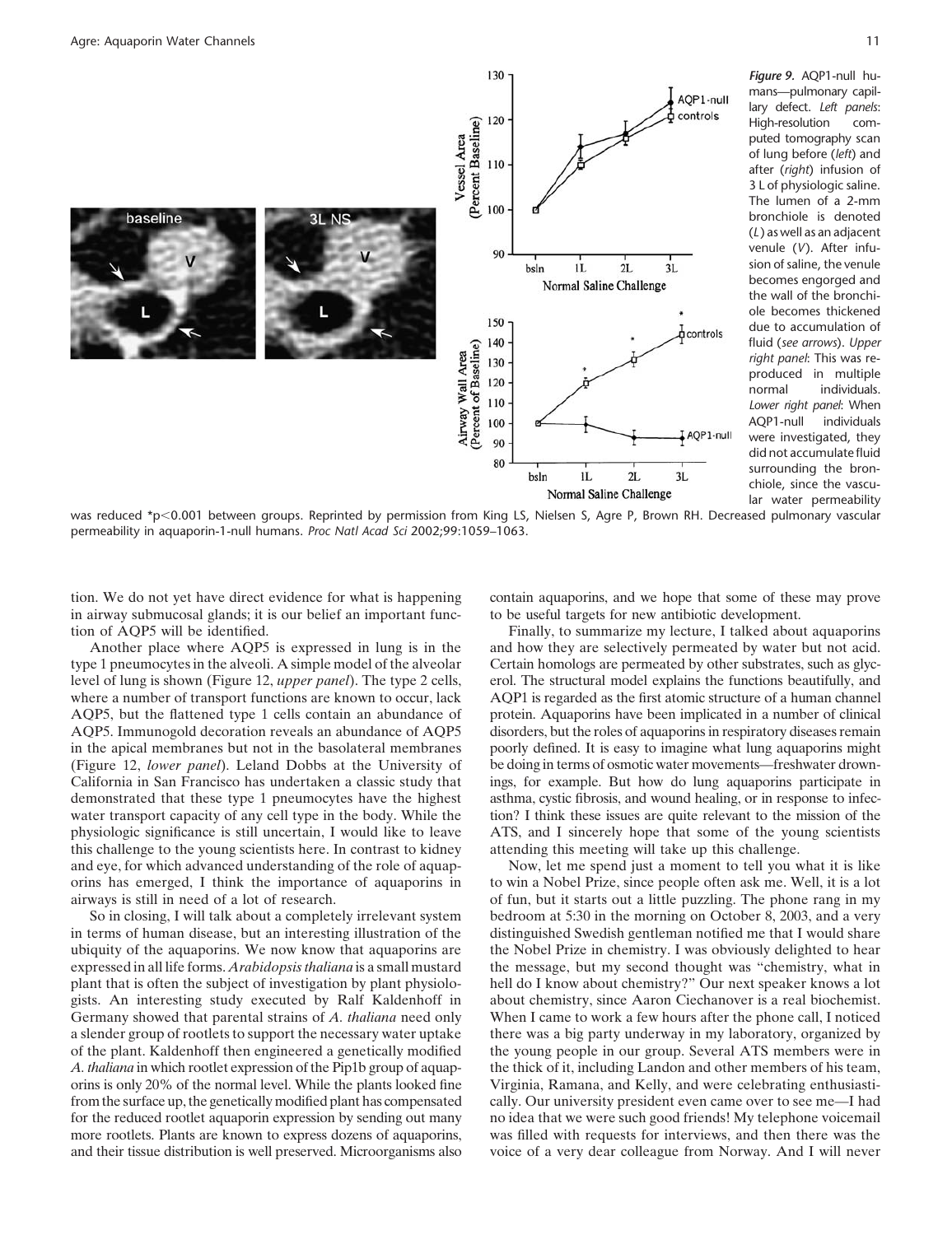

mans—pulmonary capillary defect. *Left panels*: High-resolution computed tomography scan of lung before (*left*) and after (*right*) infusion of 3 L of physiologic saline. The lumen of a 2-mm bronchiole is denoted (*L* ) as well as an adjacent venule (*V*). After infusion of saline, the venule becomes engorged and the wall of the bronchiole becomes thickened due to accumulation of fluid (*see arrows*). *Upper right panel*: This was reproduced in multiple normal individuals. *Lower right panel*: When AQP1-null individuals were investigated, they did not accumulate fluid surrounding the bronchiole, since the vascular water permeability

was reduced \*p<0.001 between groups. Reprinted by permission from King LS, Nielsen S, Agre P, Brown RH. Decreased pulmonary vascular permeability in aquaporin-1-null humans. *Proc Natl Acad Sci* 2002;99:1059–1063.

tion. We do not yet have direct evidence for what is happening in airway submucosal glands; it is our belief an important function of AQP5 will be identified.

Another place where AQP5 is expressed in lung is in the type 1 pneumocytes in the alveoli. A simple model of the alveolar level of lung is shown (Figure 12, *upper panel*). The type 2 cells, where a number of transport functions are known to occur, lack AQP5, but the flattened type 1 cells contain an abundance of AQP5. Immunogold decoration reveals an abundance of AQP5 in the apical membranes but not in the basolateral membranes (Figure 12, *lower panel*). Leland Dobbs at the University of California in San Francisco has undertaken a classic study that demonstrated that these type 1 pneumocytes have the highest water transport capacity of any cell type in the body. While the physiologic significance is still uncertain, I would like to leave this challenge to the young scientists here. In contrast to kidney and eye, for which advanced understanding of the role of aquaporins has emerged, I think the importance of aquaporins in airways is still in need of a lot of research.

So in closing, I will talk about a completely irrelevant system in terms of human disease, but an interesting illustration of the ubiquity of the aquaporins. We now know that aquaporins are expressed in all life forms. *Arabidopsis thaliana* is a small mustard plant that is often the subject of investigation by plant physiologists. An interesting study executed by Ralf Kaldenhoff in Germany showed that parental strains of *A. thaliana* need only a slender group of rootlets to support the necessary water uptake of the plant. Kaldenhoff then engineered a genetically modified *A. thaliana* in which rootlet expression of the Pip1b group of aquaporins is only 20% of the normal level. While the plants looked fine from the surface up, the genetically modified plant has compensated for the reduced rootlet aquaporin expression by sending out many more rootlets. Plants are known to express dozens of aquaporins, and their tissue distribution is well preserved. Microorganisms also contain aquaporins, and we hope that some of these may prove to be useful targets for new antibiotic development.

Finally, to summarize my lecture, I talked about aquaporins and how they are selectively permeated by water but not acid. Certain homologs are permeated by other substrates, such as glycerol. The structural model explains the functions beautifully, and AQP1 is regarded as the first atomic structure of a human channel protein. Aquaporins have been implicated in a number of clinical disorders, but the roles of aquaporins in respiratory diseases remain poorly defined. It is easy to imagine what lung aquaporins might be doing in terms of osmotic water movements—freshwater drownings, for example. But how do lung aquaporins participate in asthma, cystic fibrosis, and wound healing, or in response to infection? I think these issues are quite relevant to the mission of the ATS, and I sincerely hope that some of the young scientists attending this meeting will take up this challenge.

Now, let me spend just a moment to tell you what it is like to win a Nobel Prize, since people often ask me. Well, it is a lot of fun, but it starts out a little puzzling. The phone rang in my bedroom at 5:30 in the morning on October 8, 2003, and a very distinguished Swedish gentleman notified me that I would share the Nobel Prize in chemistry. I was obviously delighted to hear the message, but my second thought was "chemistry, what in hell do I know about chemistry?" Our next speaker knows a lot about chemistry, since Aaron Ciechanover is a real biochemist. When I came to work a few hours after the phone call, I noticed there was a big party underway in my laboratory, organized by the young people in our group. Several ATS members were in the thick of it, including Landon and other members of his team, Virginia, Ramana, and Kelly, and were celebrating enthusiastically. Our university president even came over to see me—I had no idea that we were such good friends! My telephone voicemail was filled with requests for interviews, and then there was the voice of a very dear colleague from Norway. And I will never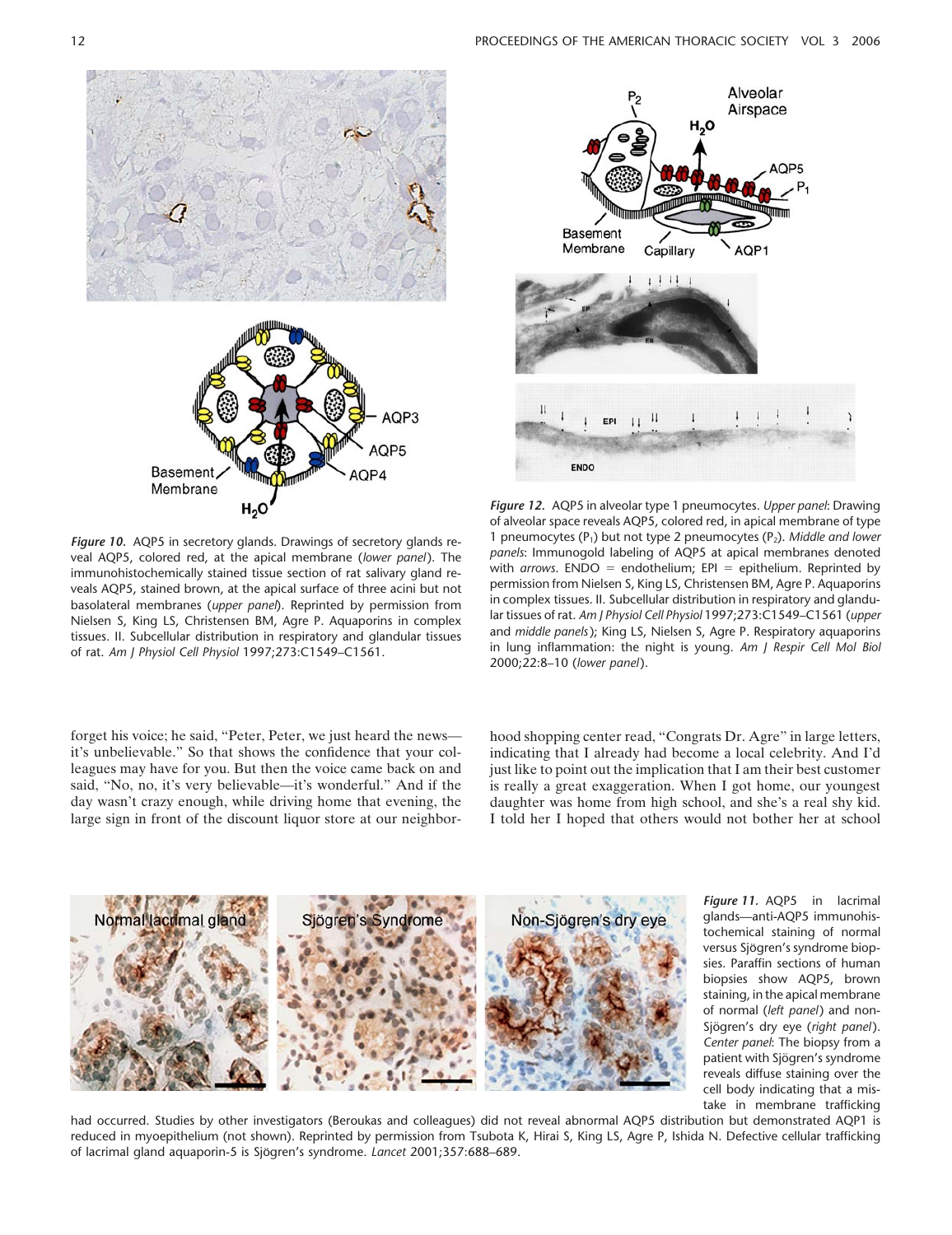

*Figure 10.* AQP5 in secretory glands. Drawings of secretory glands reveal AQP5, colored red, at the apical membrane (*lower panel*). The immunohistochemically stained tissue section of rat salivary gland reveals AQP5, stained brown, at the apical surface of three acini but not basolateral membranes (*upper panel*). Reprinted by permission from Nielsen S, King LS, Christensen BM, Agre P. Aquaporins in complex tissues. II. Subcellular distribution in respiratory and glandular tissues of rat. *Am J Physiol Cell Physiol* 1997;273:C1549–C1561.

**ENDO** *Figure 12.* AQP5 in alveolar type 1 pneumocytes. *Upper panel*: Drawing of alveolar space reveals AQP5, colored red, in apical membrane of type 1 pneumocytes (P1) but not type 2 pneumocytes (P2). *Middle and lower panels*: Immunogold labeling of AQP5 at apical membranes denoted with *arrows*. ENDO = endothelium; EPI = epithelium. Reprinted by permission from Nielsen S, King LS, Christensen BM, Agre P. Aquaporins in complex tissues. II. Subcellular distribution in respiratory and glandular tissues of rat. *Am J Physiol Cell Physiol* 1997;273:C1549–C1561 (*upper* and *middle panels*); King LS, Nielsen S, Agre P. Respiratory aquaporins in lung inflammation: the night is young. *Am J Respir Cell Mol Biol* 2000;22:8–10 (*lower panel*).

forget his voice; he said, "Peter, Peter, we just heard the news it's unbelievable." So that shows the confidence that your colleagues may have for you. But then the voice came back on and said, "No, no, it's very believable—it's wonderful." And if the day wasn't crazy enough, while driving home that evening, the large sign in front of the discount liquor store at our neighbor-

hood shopping center read, "Congrats Dr. Agre" in large letters, indicating that I already had become a local celebrity. And I'd just like to point out the implication that I am their best customer is really a great exaggeration. When I got home, our youngest daughter was home from high school, and she's a real shy kid. I told her I hoped that others would not bother her at school



*Figure 11.* AQP5 in lacrimal glands—anti-AQP5 immunohistochemical staining of normal versus Sjögren's syndrome biopsies. Paraffin sections of human biopsies show AQP5, brown staining, in the apical membrane of normal (*left panel*) and non-Sjögren's dry eye (right panel). *Center panel*: The biopsy from a patient with Sjögren's syndrome reveals diffuse staining over the cell body indicating that a mistake in membrane trafficking

had occurred. Studies by other investigators (Beroukas and colleagues) did not reveal abnormal AQP5 distribution but demonstrated AQP1 is reduced in myoepithelium (not shown). Reprinted by permission from Tsubota K, Hirai S, King LS, Agre P, Ishida N. Defective cellular trafficking of lacrimal gland aquaporin-5 is Sjögren's syndrome. *Lancet* 2001;357:688–689.